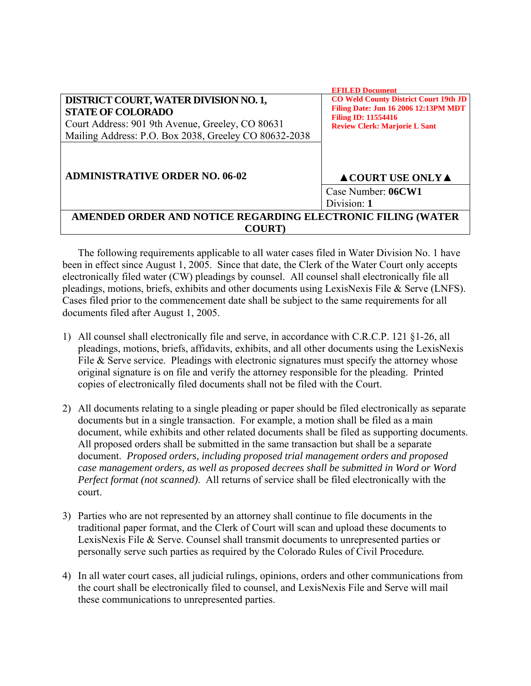|                                                                                                                                                                                | EFILED Document                                                                                                                                                   |
|--------------------------------------------------------------------------------------------------------------------------------------------------------------------------------|-------------------------------------------------------------------------------------------------------------------------------------------------------------------|
| DISTRICT COURT, WATER DIVISION NO. 1,<br><b>STATE OF COLORADO</b><br>Court Address: 901 9th Avenue, Greeley, CO 80631<br>Mailing Address: P.O. Box 2038, Greeley CO 80632-2038 | <b>CO Weld County District Court 19th JD</b><br><b>Filing Date: Jun 16 2006 12:13PM MDT</b><br><b>Filing ID: 11554416</b><br><b>Review Clerk: Marjorie L Sant</b> |
| <b>ADMINISTRATIVE ORDER NO. 06-02</b>                                                                                                                                          | $\triangle$ COURT USE ONLY $\triangle$                                                                                                                            |
|                                                                                                                                                                                | Case Number: 06CW1<br>Division: 1                                                                                                                                 |
| AMENDED ORDER AND NOTICE REGARDING ELECTRONIC FILING (WATER                                                                                                                    |                                                                                                                                                                   |
| <b>COURT</b> )                                                                                                                                                                 |                                                                                                                                                                   |

**EFILED Document** 

The following requirements applicable to all water cases filed in Water Division No. 1 have been in effect since August 1, 2005. Since that date, the Clerk of the Water Court only accepts electronically filed water (CW) pleadings by counsel. All counsel shall electronically file all pleadings, motions, briefs, exhibits and other documents using LexisNexis File & Serve (LNFS). Cases filed prior to the commencement date shall be subject to the same requirements for all documents filed after August 1, 2005.

- 1) All counsel shall electronically file and serve, in accordance with C.R.C.P. 121 §1-26, all pleadings, motions, briefs, affidavits, exhibits, and all other documents using the LexisNexis File & Serve service. Pleadings with electronic signatures must specify the attorney whose original signature is on file and verify the attorney responsible for the pleading. Printed copies of electronically filed documents shall not be filed with the Court.
- 2) All documents relating to a single pleading or paper should be filed electronically as separate documents but in a single transaction. For example, a motion shall be filed as a main document, while exhibits and other related documents shall be filed as supporting documents. All proposed orders shall be submitted in the same transaction but shall be a separate document. *Proposed orders, including proposed trial management orders and proposed case management orders, as well as proposed decrees shall be submitted in Word or Word Perfect format (not scanned)*. All returns of service shall be filed electronically with the court.
- 3) Parties who are not represented by an attorney shall continue to file documents in the traditional paper format, and the Clerk of Court will scan and upload these documents to LexisNexis File & Serve. Counsel shall transmit documents to unrepresented parties or personally serve such parties as required by the Colorado Rules of Civil Procedure*.*
- 4) In all water court cases, all judicial rulings, opinions, orders and other communications from the court shall be electronically filed to counsel, and LexisNexis File and Serve will mail these communications to unrepresented parties.